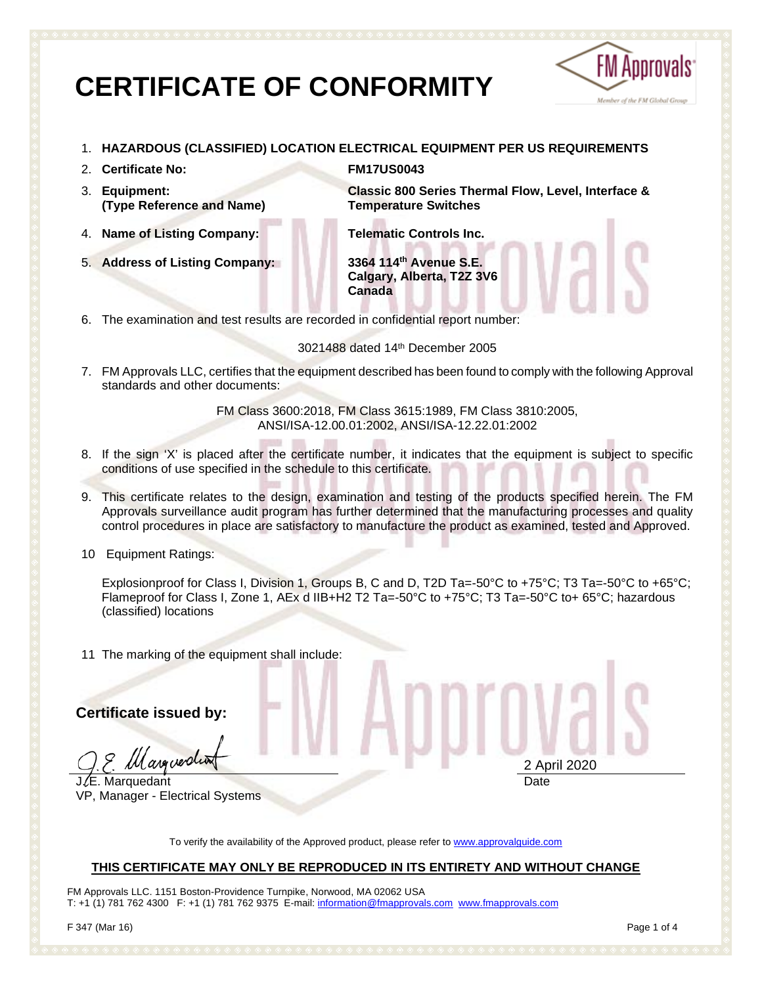# **CERTIFICATE OF CONFORMITY**



- 1. **HAZARDOUS (CLASSIFIED) LOCATION ELECTRICAL EQUIPMENT PER US REQUIREMENTS**
- 2. **Certificate No: FM17US0043**
- 3. **Equipment: (Type Reference and Name)**
- 4. **Name of Listing Company: Telematic Controls Inc.**
- 5. **Address of Listing Company: 3364 114th Avenue S.E.**

**Classic 800 Series Thermal Flow, Level, Interface & Temperature Switches**

**Calgary, Alberta, T2Z 3V6 Canada**

6. The examination and test results are recorded in confidential report number:

3021488 dated 14th December 2005

7. FM Approvals LLC, certifies that the equipment described has been found to comply with the following Approval standards and other documents:

> FM Class 3600:2018, FM Class 3615:1989, FM Class 3810:2005, ANSI/ISA-12.00.01:2002, ANSI/ISA-12.22.01:2002

- 8. If the sign 'X' is placed after the certificate number, it indicates that the equipment is subject to specific conditions of use specified in the schedule to this certificate.
- 9. This certificate relates to the design, examination and testing of the products specified herein. The FM Approvals surveillance audit program has further determined that the manufacturing processes and quality control procedures in place are satisfactory to manufacture the product as examined, tested and Approved.
- 10 Equipment Ratings:

Explosionproof for Class I, Division 1, Groups B, C and D, T2D Ta=-50°C to +75°C; T3 Ta=-50°C to +65°C; Flameproof for Class I, Zone 1, AEx d IIB+H2 T2 Ta=-50°C to +75°C; T3 Ta=-50°C to+ 65°C; hazardous (classified) locations

11 The marking of the equipment shall include:

**Certificate issued by:**

*ll arguer*di

JLE. Marquedant VP, Manager - Electrical Systems 2 April 2020 **Date** 

To verify the availability of the Approved product, please refer to [www.approvalguide.com](http://www.approvalguide.com/)

#### **THIS CERTIFICATE MAY ONLY BE REPRODUCED IN ITS ENTIRETY AND WITHOUT CHANGE**

FM Approvals LLC. 1151 Boston-Providence Turnpike, Norwood, MA 02062 USA T: +1 (1) 781 762 4300 F: +1 (1) 781 762 9375 E-mail[: information@fmapprovals.com](mailto:information@fmapprovals.com) [www.fmapprovals.com](http://www.fmapprovals.com/)

F 347 (Mar 16) Page 1 of 4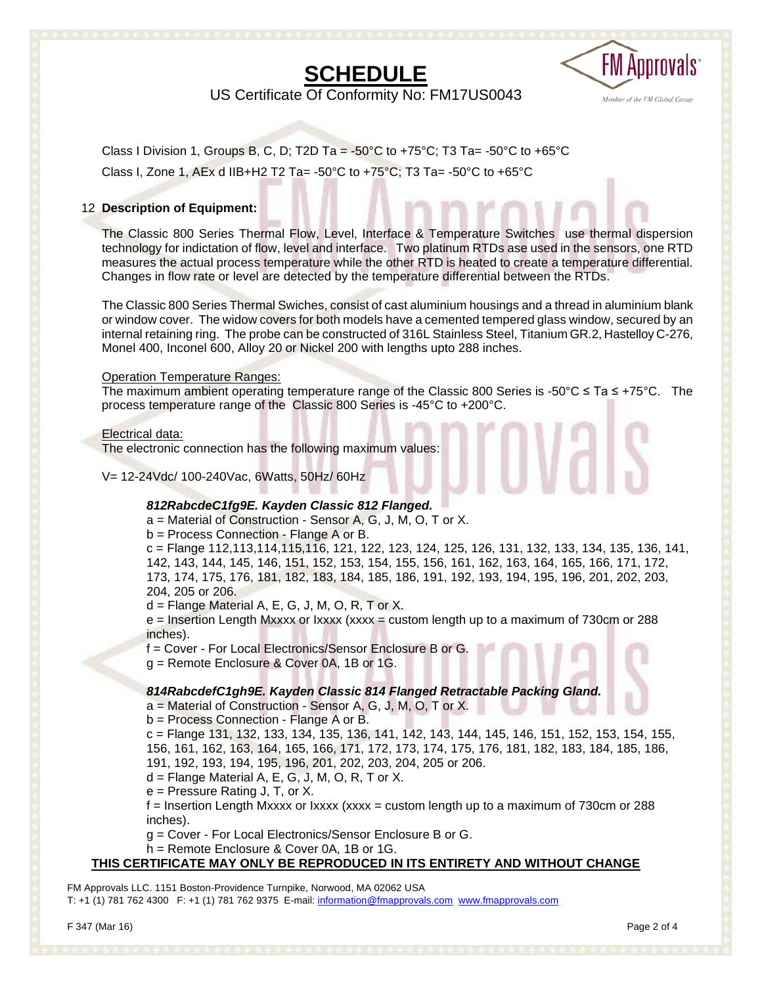## **SCHEDULE**



US Certificate Of Conformity No: FM17US0043

Class I Division 1, Groups B, C, D; T2D Ta = -50°C to +75°C; T3 Ta= -50°C to +65°C Class I, Zone 1, AEx d IIB+H2 T2 Ta= -50°C to +75°C; T3 Ta= -50°C to +65°C

#### 12 **Description of Equipment:**

The Classic 800 Series Thermal Flow, Level, Interface & Temperature Switches use thermal dispersion technology for indictation of flow, level and interface. Two platinum RTDs ase used in the sensors, one RTD measures the actual process temperature while the other RTD is heated to create a temperature differential. Changes in flow rate or level are detected by the temperature differential between the RTDs.

The Classic 800 Series Thermal Swiches, consist of cast aluminium housings and a thread in aluminium blank or window cover. The widow covers for both models have a cemented tempered glass window, secured by an internal retaining ring. The probe can be constructed of 316L Stainless Steel, Titanium GR.2, Hastelloy C-276, Monel 400, Inconel 600, Alloy 20 or Nickel 200 with lengths upto 288 inches.

#### Operation Temperature Ranges:

The maximum ambient operating temperature range of the Classic 800 Series is -50°C ≤ Ta ≤ +75°C. The process temperature range of the Classic 800 Series is -45°C to +200°C.

#### Electrical data:

The electronic connection has the following maximum values:

V= 12-24Vdc/ 100-240Vac, 6Watts, 50Hz/ 60Hz

#### *812RabcdeC1fg9E. Kayden Classic 812 Flanged.*

a = Material of Construction - Sensor A, G, J, M, O, T or X.

b = Process Connection - Flange A or B.

c = Flange 112,113,114,115,116, 121, 122, 123, 124, 125, 126, 131, 132, 133, 134, 135, 136, 141, 142, 143, 144, 145, 146, 151, 152, 153, 154, 155, 156, 161, 162, 163, 164, 165, 166, 171, 172, 173, 174, 175, 176, 181, 182, 183, 184, 185, 186, 191, 192, 193, 194, 195, 196, 201, 202, 203, 204, 205 or 206.

 $d =$  Flange Material A, E, G, J, M, O, R, T or X.

 $e =$  Insertion Length Mxxxx or Ixxxx (xxxx = custom length up to a maximum of 730cm or 288 inches).

f = Cover - For Local Electronics/Sensor Enclosure B or G.

g = Remote Enclosure & Cover 0A, 1B or 1G.

#### *814RabcdefC1gh9E. Kayden Classic 814 Flanged Retractable Packing Gland.*

a = Material of Construction - Sensor A, G, J, M, O, T or X.

b = Process Connection - Flange A or B.

c = Flange 131, 132, 133, 134, 135, 136, 141, 142, 143, 144, 145, 146, 151, 152, 153, 154, 155, 156, 161, 162, 163, 164, 165, 166, 171, 172, 173, 174, 175, 176, 181, 182, 183, 184, 185, 186, 191, 192, 193, 194, 195, 196, 201, 202, 203, 204, 205 or 206.

 $d =$  Flange Material A, E, G, J, M, O, R, T or X.

e = Pressure Rating J, T, or X.

 $f$  = Insertion Length Mxxxx or Ixxxx (xxxx = custom length up to a maximum of 730cm or 288 inches).

g = Cover - For Local Electronics/Sensor Enclosure B or G.

h = Remote Enclosure & Cover 0A, 1B or 1G.

#### **THIS CERTIFICATE MAY ONLY BE REPRODUCED IN ITS ENTIRETY AND WITHOUT CHANGE**

FM Approvals LLC. 1151 Boston-Providence Turnpike, Norwood, MA 02062 USA T: +1 (1) 781 762 4300 F: +1 (1) 781 762 9375 E-mail[: information@fmapprovals.com](mailto:information@fmapprovals.com) [www.fmapprovals.com](http://www.fmapprovals.com/)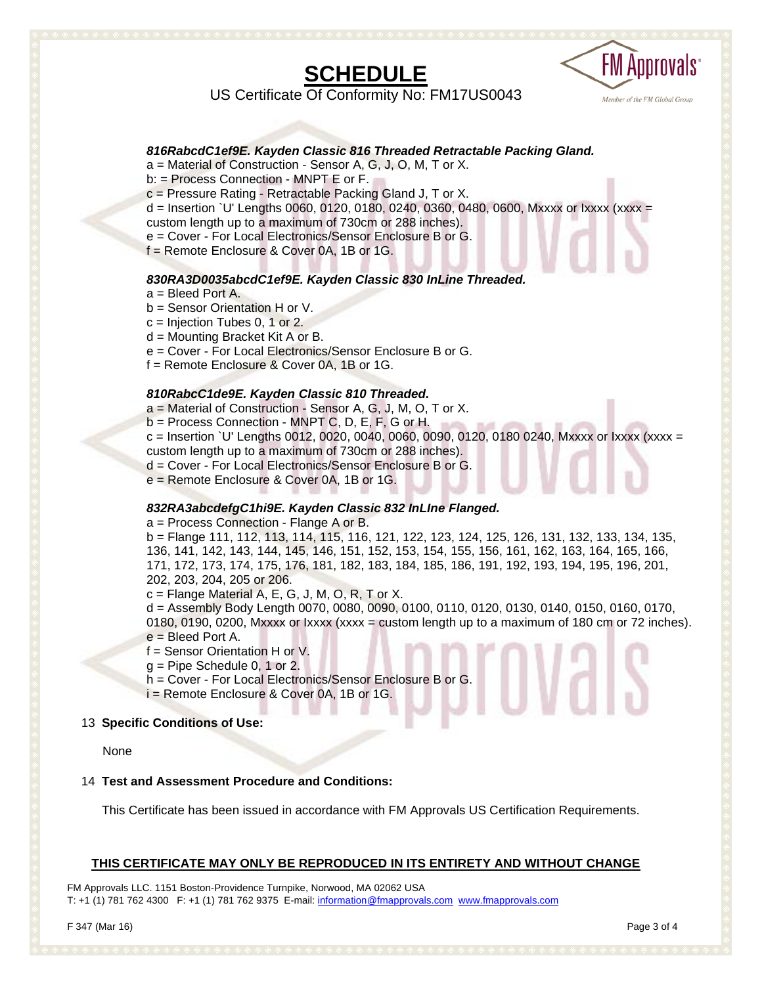## **SCHEDULE**



US Certificate Of Conformity No: FM17US0043

#### *816RabcdC1ef9E. Kayden Classic 816 Threaded Retractable Packing Gland.*

a = Material of Construction - Sensor A, G, J, O, M, T or X.

b: = Process Connection - MNPT E or F.

c = Pressure Rating - Retractable Packing Gland J, T or X.

d = Insertion `U' Lengths 0060, 0120, 0180, 0240, 0360, 0480, 0600, Mxxxx or Ixxxx (xxxx = custom length up to a maximum of 730cm or 288 inches).

e = Cover - For Local Electronics/Sensor Enclosure B or G.

f = Remote Enclosure & Cover 0A, 1B or 1G.

#### *830RA3D0035abcdC1ef9E. Kayden Classic 830 InLine Threaded.*

a = Bleed Port A.

b = Sensor Orientation H or V.

 $c =$  Injection Tubes 0, 1 or 2.

d = Mounting Bracket Kit A or B.

e = Cover - For Local Electronics/Sensor Enclosure B or G.

f = Remote Enclosure & Cover 0A, 1B or 1G.

#### *810RabcC1de9E. Kayden Classic 810 Threaded.*

a = Material of Construction - Sensor A, G, J, M, O, T or X. b = Process Connection - MNPT C, D, E, F, G or H.  $c =$  Insertion `U' Lengths 0012, 0020, 0040, 0060, 0090, 0120, 0180 0240, Mxxxx or Ixxxx (xxxx = custom length up to a maximum of 730cm or 288 inches). d = Cover - For Local Electronics/Sensor Enclosure B or G. e = Remote Enclosure & Cover 0A, 1B or 1G.

#### *832RA3abcdefgC1hi9E. Kayden Classic 832 InLIne Flanged.*

a = Process Connection - Flange A or B.

b = Flange 111, 112, 113, 114, 115, 116, 121, 122, 123, 124, 125, 126, 131, 132, 133, 134, 135, 136, 141, 142, 143, 144, 145, 146, 151, 152, 153, 154, 155, 156, 161, 162, 163, 164, 165, 166, 171, 172, 173, 174, 175, 176, 181, 182, 183, 184, 185, 186, 191, 192, 193, 194, 195, 196, 201, 202, 203, 204, 205 or 206.

 $c =$  Flange Material A, E, G, J, M, O, R, T or X.

d = Assembly Body Length 0070, 0080, 0090, 0100, 0110, 0120, 0130, 0140, 0150, 0160, 0170, 0180, 0190, 0200, Mxxxx or  $lxxx$  (xxxx = custom length up to a maximum of 180 cm or 72 inches). e = Bleed Port A.

f = Sensor Orientation H or V.

 $g =$  Pipe Schedule 0, 1 or 2.

h = Cover - For Local Electronics/Sensor Enclosure B or G.

i = Remote Enclosure & Cover 0A, 1B or 1G.

#### 13 **Specific Conditions of Use:**

None

#### 14 **Test and Assessment Procedure and Conditions:**

This Certificate has been issued in accordance with FM Approvals US Certification Requirements.

#### **THIS CERTIFICATE MAY ONLY BE REPRODUCED IN ITS ENTIRETY AND WITHOUT CHANGE**

FM Approvals LLC. 1151 Boston-Providence Turnpike, Norwood, MA 02062 USA T: +1 (1) 781 762 4300 F: +1 (1) 781 762 9375 E-mail[: information@fmapprovals.com](mailto:information@fmapprovals.com) [www.fmapprovals.com](http://www.fmapprovals.com/)